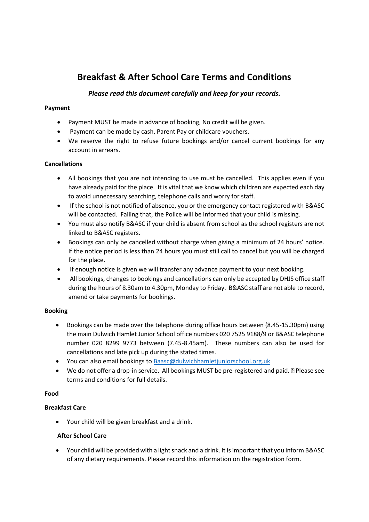# **Breakfast & After School Care Terms and Conditions**

## *Please read this document carefully and keep for your records.*

#### **Payment**

- Payment MUST be made in advance of booking, No credit will be given.
- Payment can be made by cash, Parent Pay or childcare vouchers.
- We reserve the right to refuse future bookings and/or cancel current bookings for any account in arrears.

#### **Cancellations**

- All bookings that you are not intending to use must be cancelled. This applies even if you have already paid for the place. It is vital that we know which children are expected each day to avoid unnecessary searching, telephone calls and worry for staff.
- If the school is not notified of absence, you or the emergency contact registered with B&ASC will be contacted. Failing that, the Police will be informed that your child is missing.
- You must also notify B&ASC if your child is absent from school as the school registers are not linked to B&ASC registers.
- Bookings can only be cancelled without charge when giving a minimum of 24 hours' notice. If the notice period is less than 24 hours you must still call to cancel but you will be charged for the place.
- If enough notice is given we will transfer any advance payment to your next booking.
- All bookings, changes to bookings and cancellations can only be accepted by DHJS office staff during the hours of 8.30am to 4.30pm, Monday to Friday. B&ASC staff are not able to record, amend or take payments for bookings.

## **Booking**

- Bookings can be made over the telephone during office hours between (8.45-15.30pm) using the main Dulwich Hamlet Junior School office numbers 020 7525 9188/9 or B&ASC telephone number 020 8299 9773 between (7.45-8.45am). These numbers can also be used for cancellations and late pick up during the stated times.
- You can also email bookings t[o Baasc@dulwichhamletjuniorschool.org.uk](mailto:Baasc@dulwichhamletjuniorschool.org.uk)
- $\bullet$  We do not offer a drop-in service. All bookings MUST be pre-registered and paid.  $\mathbb{Z}$  Please see terms and conditions for full details.

## **Food**

## **Breakfast Care**

Your child will be given breakfast and a drink.

## **After School Care**

 Your child will be provided with a light snack and a drink. It is important that you inform B&ASC of any dietary requirements. Please record this information on the registration form.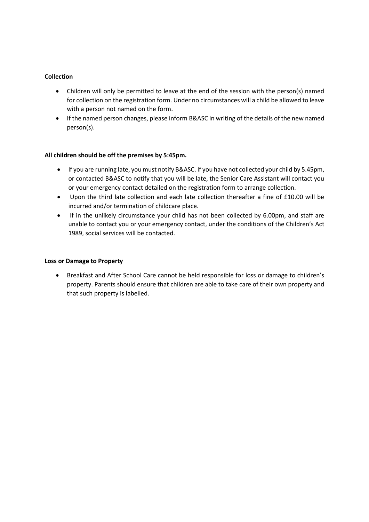### **Collection**

- Children will only be permitted to leave at the end of the session with the person(s) named for collection on the registration form. Under no circumstances will a child be allowed to leave with a person not named on the form.
- If the named person changes, please inform B&ASC in writing of the details of the new named person(s).

#### **All children should be off the premises by 5:45pm.**

- If you are running late, you must notify B&ASC. If you have not collected your child by 5.45pm, or contacted B&ASC to notify that you will be late, the Senior Care Assistant will contact you or your emergency contact detailed on the registration form to arrange collection.
- Upon the third late collection and each late collection thereafter a fine of £10.00 will be incurred and/or termination of childcare place.
- If in the unlikely circumstance your child has not been collected by 6.00pm, and staff are unable to contact you or your emergency contact, under the conditions of the Children's Act 1989, social services will be contacted.

#### **Loss or Damage to Property**

 Breakfast and After School Care cannot be held responsible for loss or damage to children's property. Parents should ensure that children are able to take care of their own property and that such property is labelled.